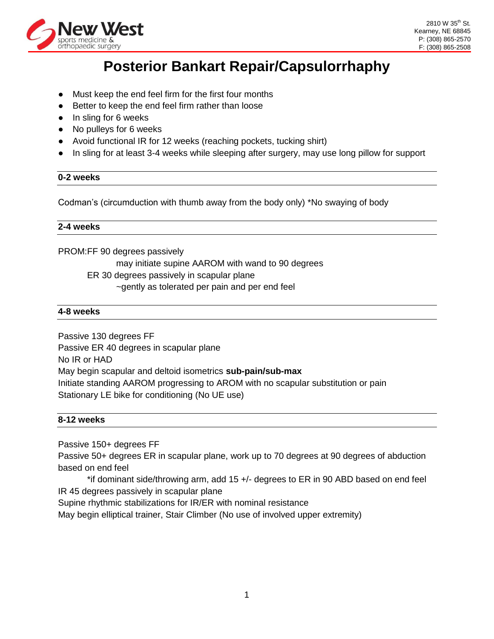

# **Posterior Bankart Repair/Capsulorrhaphy**

- Must keep the end feel firm for the first four months
- Better to keep the end feel firm rather than loose
- In sling for 6 weeks
- No pulleys for 6 weeks
- Avoid functional IR for 12 weeks (reaching pockets, tucking shirt)
- In sling for at least 3-4 weeks while sleeping after surgery, may use long pillow for support

## **0-2 weeks**

Codman's (circumduction with thumb away from the body only) \*No swaying of body

## **2-4 weeks**

PROM:FF 90 degrees passively

may initiate supine AAROM with wand to 90 degrees

ER 30 degrees passively in scapular plane

~gently as tolerated per pain and per end feel

## **4-8 weeks**

Passive 130 degrees FF Passive ER 40 degrees in scapular plane No IR or HAD May begin scapular and deltoid isometrics **sub-pain/sub-max** Initiate standing AAROM progressing to AROM with no scapular substitution or pain Stationary LE bike for conditioning (No UE use)

#### **8-12 weeks**

Passive 150+ degrees FF

Passive 50+ degrees ER in scapular plane, work up to 70 degrees at 90 degrees of abduction based on end feel

\*if dominant side/throwing arm, add 15 +/- degrees to ER in 90 ABD based on end feel IR 45 degrees passively in scapular plane

Supine rhythmic stabilizations for IR/ER with nominal resistance

May begin elliptical trainer, Stair Climber (No use of involved upper extremity)